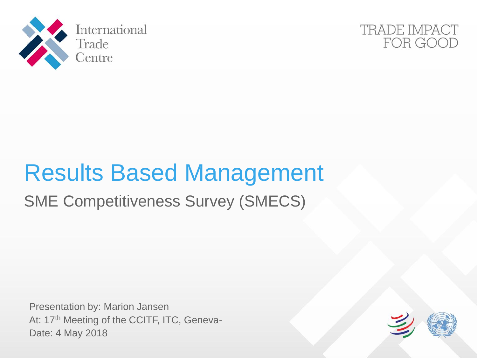



# Results Based Management

## SME Competitiveness Survey (SMECS)

Presentation by: Marion Jansen At: 17<sup>th</sup> Meeting of the CCITF, ITC, Geneva-Date: 4 May 2018

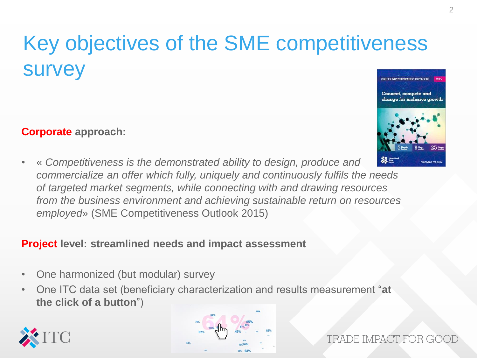### Key objectives of the SME competitiveness survey **SME COMPETITIVENESS OUTLOOK**

#### **Corporate approach:**

• « *Competitiveness is the demonstrated ability to design, produce and*  **AN ELECTRIC STATE** *commercialize an offer which fully, uniquely and continuously fulfils the needs of targeted market segments, while connecting with and drawing resources from the business environment and achieving sustainable return on resources employed*» (SME Competitiveness Outlook 2015)

#### **Project level: streamlined needs and impact assessment**

- One harmonized (but modular) survey
- One ITC data set (beneficiary characterization and results measurement "**at the click of a button**")





TRADE IMPACT FOR G(

Connect, compete and change for inclusive growth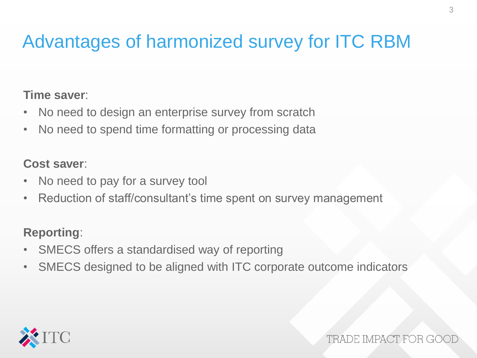## Advantages of harmonized survey for ITC RBM

#### **Time saver**:

- No need to design an enterprise survey from scratch
- No need to spend time formatting or processing data

#### **Cost saver**:

- No need to pay for a survey tool
- Reduction of staff/consultant's time spent on survey management

#### **Reporting**:

- SMECS offers a standardised way of reporting
- SMECS designed to be aligned with ITC corporate outcome indicators



TRADE IMPACT FOR G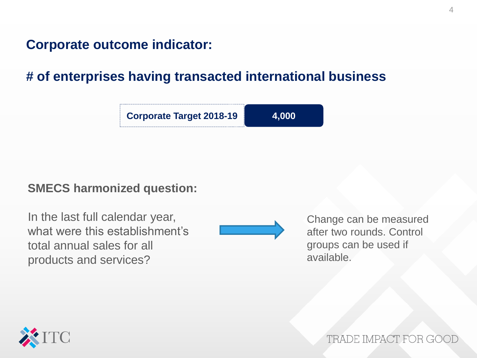#### **# of enterprises having transacted international business**



#### **SMECS harmonized question:**

In the last full calendar year, what were this establishment's total annual sales for all products and services?



Change can be measured after two rounds. Control groups can be used if available.



TRADE IMPACT FOR G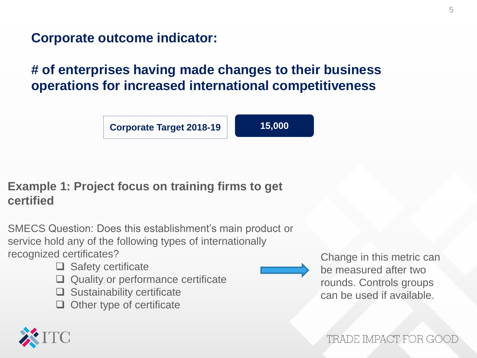### **# of enterprises having made changes to their business operations for increased international competitiveness**

**Corporate Target 2018-19** 15,000

### **Example 1: Project focus on training firms to get certified**

SMECS Question: Does this establishment's main product or service hold any of the following types of internationally recognized certificates?

- $\Box$  Safety certificate
- Quality or performance certificate
- $\Box$  Sustainability certificate
- $\Box$  Other type of certificate

Change in this metric can be measured after two rounds. Controls groups can be used if available.

TRADE IMPACT FOR GO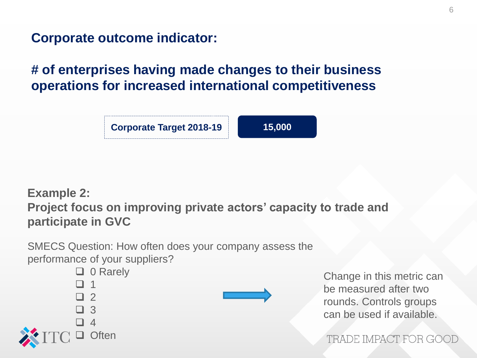### **# of enterprises having made changes to their business operations for increased international competitiveness**

**Corporate Target 2018-19 15,000** 

### **Example 2: Project focus on improving private actors' capacity to trade and participate in GVC**

SMECS Question: How often does your company assess the performance of your suppliers?





Change in this metric can be measured after two rounds. Controls groups can be used if available.

TRADE IMPACT FOR GOO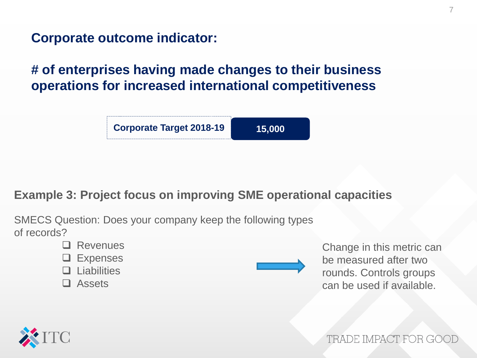**# of enterprises having made changes to their business operations for increased international competitiveness**



#### **Example 3: Project focus on improving SME operational capacities**

SMECS Question: Does your company keep the following types of records?

- **Q** Revenues
- **□** Expenses
- $\Box$  Liabilities
- □ Assets

Change in this metric can be measured after two rounds. Controls groups can be used if available.



TRADE IMPACT FOR GO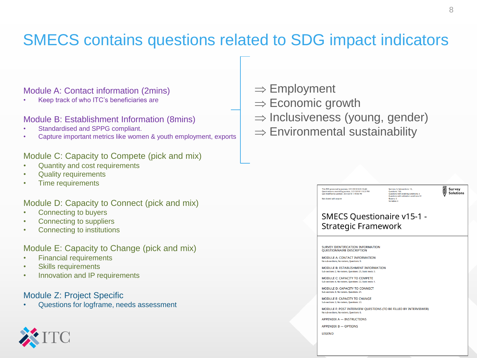## SMECS contains questions related to SDG impact indicators

#### Module A: Contact information (2mins)

• Keep track of who ITC's beneficiaries are

#### Module B: Establishment Information (8mins)

- Standardised and SPPG compliant.
- Capture important metrics like women & youth employment, exports

#### Module C: Capacity to Compete (pick and mix)

- Quantity and cost requirements
- Quality requirements
- Time requirements

#### Module D: Capacity to Connect (pick and mix)

- Connecting to buyers
- Connecting to suppliers
- Connecting to institutions

#### Module E: Capacity to Change (pick and mix)

- Financial requirements
- Skills requirements
- Innovation and IP requirements

#### Module Z: Project Specific

• Questions for logframe, needs assessment



- $\Rightarrow$  Economic growth
- $\Rightarrow$  Inclusiveness (young, gender)
- $\Rightarrow$  Environmental sustainability

#### This PDF generated by jasmeer, 3/21/2018 9:20:18 AM Questionnaire created by jasmeer, 3/21/2018 1:18:37 PM<br>Last modified by jasmeer, 3/21/2018 1:19:56 PM Not shared with anyone

Sections: 6, Sub-sections: 12, Questions: 106.<br>Questions: 106. Questions with validation conditions:12 .<br>Metare: 0

Survey **Solutions** 

#### **SMECS Questionaire v15-1 -Strategic Framework**

SURVEY IDENTIFICATION INFORMATION QUESTIONNAIRE DESCRIPTION

MODULE A: CONTACT INFORMATION No sub-sections, No rosters, Questions: 9

MODULE B: ESTABLISHMENT INFORMATION Sub-sections: 2. No rosters. Questions: 25. Static texts: 3.

MODULE C: CAPACITY TO COMPETE Sub-sections: 4. No rosters. Ouestions: 22. Static te

MODULE D: CAPACITY TO CONNECT Sub-sections: 3. No rosters. Questions: 21

MODULE E: CAPACITY TO CHANGE Sub-sections: 3, No rosters, Questions: 23.

MODULE F: POST INTERVIEW QUESTIONS (TO BE FILLED BY INTERVIEWER) No sub-sections. No rosters. Questions: 6

**APPENDIX A - INSTRUCTIONS** 

**APPENDIX B - OPTIONS** 

LEGEND

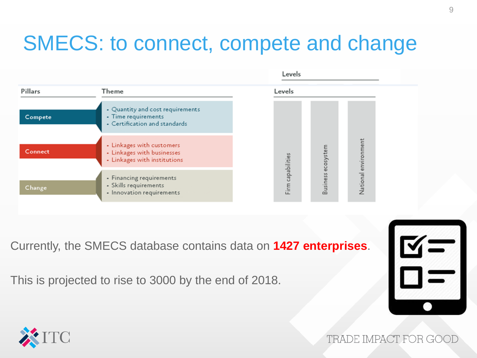## SMECS: to connect, compete and change

|                |                                                                                          | Levels                               |  |
|----------------|------------------------------------------------------------------------------------------|--------------------------------------|--|
| Pillars        | Theme                                                                                    | Levels                               |  |
| Compete        | • Quantity and cost requirements<br>• Time requirements<br>• Certification and standards |                                      |  |
| <b>Connect</b> | • Linkages with customers<br>- Linkages with businesses<br>- Linkages with institutions  | National environment<br>ecosystem    |  |
| Change         | • Financing requirements<br>• Skills requirements<br>• Innovation requirements           | Firm capabilities<br><b>Business</b> |  |

Currently, the SMECS database contains data on **1427 enterprises**.

This is projected to rise to 3000 by the end of 2018.





TRADE IMPACT FOR GOOI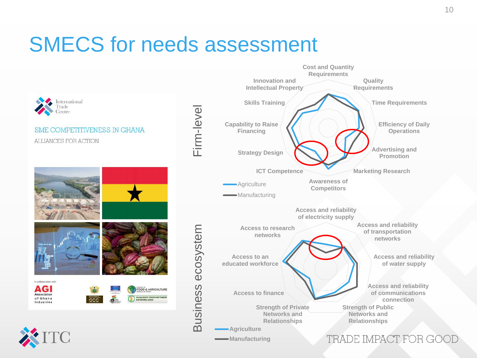## SMECS for needs assessment

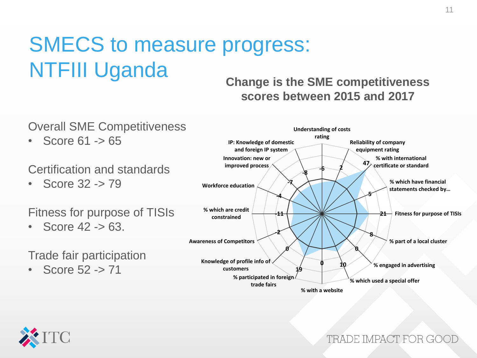## SMECS to measure progress: NTFIII Uganda

#### **Change is the SME competitiveness scores between 2015 and 2017**



**% with a website**



TRADE IMPACT FOR GOO